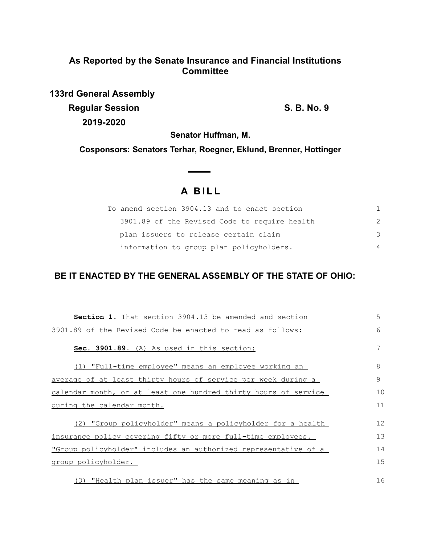## **As Reported by the Senate Insurance and Financial Institutions Committee**

**133rd General Assembly Regular Session S. B. No. 9 2019-2020**

**Senator Huffman, M.**

**Cosponsors: Senators Terhar, Roegner, Eklund, Brenner, Hottinger**

# **A BILL**

| To amend section 3904.13 and to enact section |               |
|-----------------------------------------------|---------------|
| 3901.89 of the Revised Code to require health | $\mathcal{P}$ |
| plan issuers to release certain claim         | 3             |
| information to group plan policyholders.      | 4             |

### **BE IT ENACTED BY THE GENERAL ASSEMBLY OF THE STATE OF OHIO:**

| <b>Section 1.</b> That section 3904.13 be amended and section   | 5  |
|-----------------------------------------------------------------|----|
| 3901.89 of the Revised Code be enacted to read as follows:      | 6  |
| Sec. 3901.89. (A) As used in this section:                      | 7  |
| (1) "Full-time employee" means an employee working an           | 8  |
| average of at least thirty hours of service per week during a   | 9  |
| calendar month, or at least one hundred thirty hours of service | 10 |
| during the calendar month.                                      | 11 |
| (2) "Group policyholder" means a policyholder for a health      | 12 |
| insurance policy covering fifty or more full-time employees.    | 13 |
| "Group policyholder" includes an authorized representative of a | 14 |
| <u>group policyholder.</u>                                      | 15 |
| (3) "Health plan issuer" has the same meaning as in             | 16 |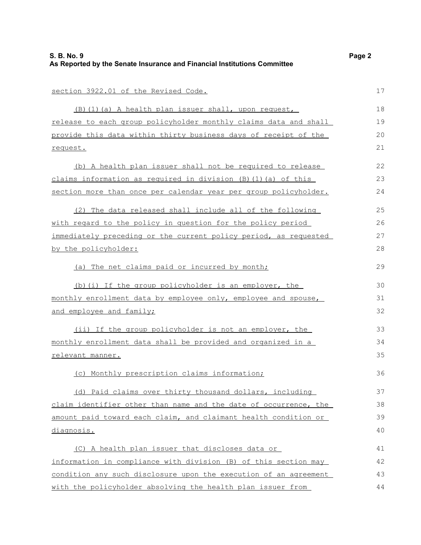| section 3922.01 of the Revised Code.                             | 17 |
|------------------------------------------------------------------|----|
| (B) (1) (a) A health plan issuer shall, upon request,            | 18 |
| release to each group policyholder monthly claims data and shall | 19 |
| provide this data within thirty business days of receipt of the  | 20 |
| request.                                                         | 21 |
| (b) A health plan issuer shall not be required to release        | 22 |
| claims information as required in division (B) (1) (a) of this   | 23 |
| section more than once per calendar year per group policyholder. | 24 |
| (2) The data released shall include all of the following         | 25 |
| with regard to the policy in question for the policy period      | 26 |
| immediately preceding or the current policy period, as requested | 27 |
| by the policyholder:                                             | 28 |
| (a) The net claims paid or incurred by month;                    | 29 |
| (b) (i) If the group policyholder is an employer, the            | 30 |
| monthly enrollment data by employee only, employee and spouse,   | 31 |
| and employee and family;                                         | 32 |
| (ii) If the group policyholder is not an employer, the           | 33 |
| monthly enrollment data shall be provided and organized in a     | 34 |
| relevant manner.                                                 | 35 |
| (c) Monthly prescription claims information;                     | 36 |
| (d) Paid claims over thirty thousand dollars, including          | 37 |
| claim identifier other than name and the date of occurrence, the | 38 |
| amount paid toward each claim, and claimant health condition or  | 39 |
| diagnosis.                                                       | 40 |
| (C) A health plan issuer that discloses data or                  | 41 |
| information in compliance with division (B) of this section may  | 42 |
| condition any such disclosure upon the execution of an agreement | 43 |
| with the policyholder absolving the health plan issuer from      | 44 |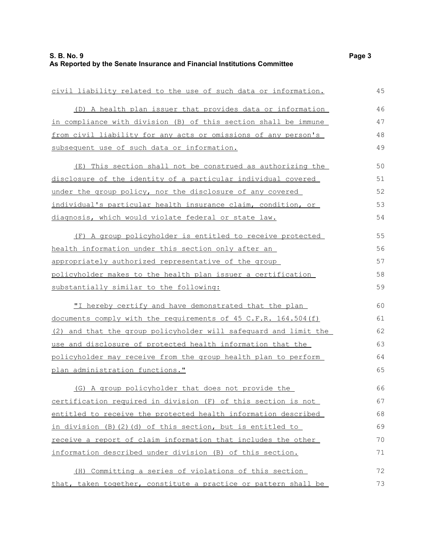| civil liability related to the use of such data or information.  | 45 |
|------------------------------------------------------------------|----|
| (D) A health plan issuer that provides data or information       | 46 |
| in compliance with division (B) of this section shall be immune  | 47 |
| from civil liability for any acts or omissions of any person's   | 48 |
| subsequent use of such data or information.                      | 49 |
| (E) This section shall not be construed as authorizing the       | 50 |
| disclosure of the identity of a particular individual covered    | 51 |
| under the group policy, nor the disclosure of any covered        | 52 |
| individual's particular health insurance claim, condition, or    | 53 |
| diagnosis, which would violate federal or state law.             | 54 |
| (F) A group policyholder is entitled to receive protected        | 55 |
| health information under this section only after an              | 56 |
| appropriately authorized representative of the group             | 57 |
| policyholder makes to the health plan issuer a certification     | 58 |
| substantially similar to the following:                          | 59 |
| "I hereby certify and have demonstrated that the plan            | 60 |
| documents comply with the requirements of 45 C.F.R. 164.504 (f)  | 61 |
| (2) and that the group policyholder will safequard and limit the | 62 |
| use and disclosure of protected health information that the      | 63 |
| policyholder may receive from the group health plan to perform   | 64 |
| plan administration functions."                                  | 65 |
| (G) A group policyholder that does not provide the               | 66 |
| certification required in division (F) of this section is not    | 67 |
| entitled to receive the protected health information described   | 68 |
| in division (B)(2)(d) of this section, but is entitled to        | 69 |
| receive a report of claim information that includes the other    | 70 |
| information described under division (B) of this section.        | 71 |
| Committing a series of violations of this section<br>(H)         | 72 |
| that, taken together, constitute a practice or pattern shall be  | 73 |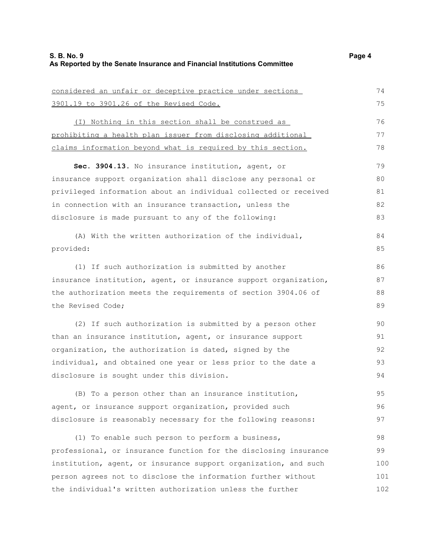considered an unfair or deceptive practice under sections

| 3901.19 to 3901.26 of the Revised Code.                            | 75  |
|--------------------------------------------------------------------|-----|
| (I) Nothing in this section shall be construed as                  | 76  |
| <u>prohibiting a health plan issuer from disclosing additional</u> | 77  |
| claims information beyond what is required by this section.        | 78  |
| Sec. 3904.13. No insurance institution, agent, or                  | 79  |
| insurance support organization shall disclose any personal or      | 80  |
| privileged information about an individual collected or received   | 81  |
| in connection with an insurance transaction, unless the            | 82  |
| disclosure is made pursuant to any of the following:               | 83  |
| (A) With the written authorization of the individual,              | 84  |
| provided:                                                          | 85  |
| (1) If such authorization is submitted by another                  | 86  |
| insurance institution, agent, or insurance support organization,   | 87  |
| the authorization meets the requirements of section 3904.06 of     | 88  |
| the Revised Code;                                                  | 89  |
| (2) If such authorization is submitted by a person other           | 90  |
| than an insurance institution, agent, or insurance support         | 91  |
| organization, the authorization is dated, signed by the            | 92  |
| individual, and obtained one year or less prior to the date a      | 93  |
| disclosure is sought under this division.                          | 94  |
| (B) To a person other than an insurance institution,               | 95  |
| agent, or insurance support organization, provided such            | 96  |
| disclosure is reasonably necessary for the following reasons:      | 97  |
| (1) To enable such person to perform a business,                   | 98  |
| professional, or insurance function for the disclosing insurance   | 99  |
| institution, agent, or insurance support organization, and such    | 100 |
| person agrees not to disclose the information further without      | 101 |
| the individual's written authorization unless the further          | 102 |

74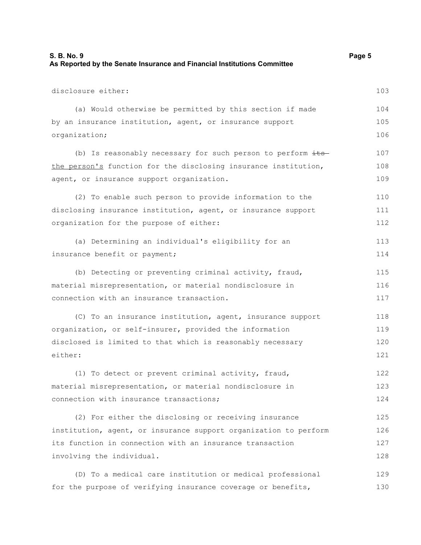| S. B. No. 9                                                              | Page 5 |
|--------------------------------------------------------------------------|--------|
| As Reported by the Senate Insurance and Financial Institutions Committee |        |

| disclosure either:                                               | 103 |
|------------------------------------------------------------------|-----|
| (a) Would otherwise be permitted by this section if made         | 104 |
| by an insurance institution, agent, or insurance support         | 105 |
| organization;                                                    | 106 |
| (b) Is reasonably necessary for such person to perform its-      | 107 |
| the person's function for the disclosing insurance institution,  | 108 |
| agent, or insurance support organization.                        | 109 |
| (2) To enable such person to provide information to the          | 110 |
| disclosing insurance institution, agent, or insurance support    | 111 |
| organization for the purpose of either:                          | 112 |
| (a) Determining an individual's eligibility for an               | 113 |
| insurance benefit or payment;                                    | 114 |
| (b) Detecting or preventing criminal activity, fraud,            | 115 |
| material misrepresentation, or material nondisclosure in         | 116 |
| connection with an insurance transaction.                        | 117 |
| (C) To an insurance institution, agent, insurance support        | 118 |
| organization, or self-insurer, provided the information          | 119 |
| disclosed is limited to that which is reasonably necessary       | 120 |
| either:                                                          | 121 |
| (1) To detect or prevent criminal activity, fraud,               | 122 |
| material misrepresentation, or material nondisclosure in         | 123 |
| connection with insurance transactions;                          | 124 |
| (2) For either the disclosing or receiving insurance             | 125 |
| institution, agent, or insurance support organization to perform | 126 |
| its function in connection with an insurance transaction         | 127 |
| involving the individual.                                        | 128 |
| (D) To a medical care institution or medical professional        | 129 |
| for the purpose of verifying insurance coverage or benefits,     | 130 |
|                                                                  |     |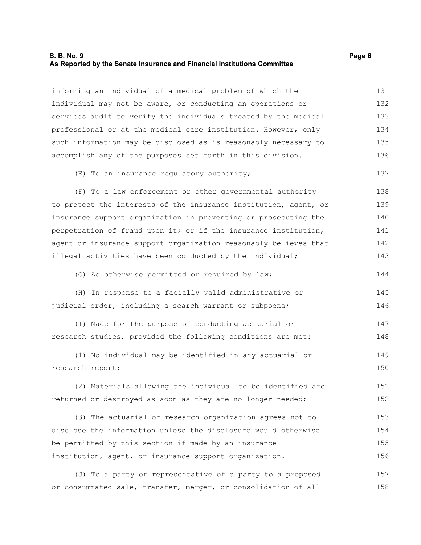#### **S. B. No. 9 Page 6 As Reported by the Senate Insurance and Financial Institutions Committee**

informing an individual of a medical problem of which the individual may not be aware, or conducting an operations or services audit to verify the individuals treated by the medical professional or at the medical care institution. However, only such information may be disclosed as is reasonably necessary to accomplish any of the purposes set forth in this division. 131 132 133 134 135 136

#### (E) To an insurance regulatory authority;

(F) To a law enforcement or other governmental authority to protect the interests of the insurance institution, agent, or insurance support organization in preventing or prosecuting the perpetration of fraud upon it; or if the insurance institution, agent or insurance support organization reasonably believes that illegal activities have been conducted by the individual; 138 139 140 141 142 143

(G) As otherwise permitted or required by law;

(H) In response to a facially valid administrative or judicial order, including a search warrant or subpoena; 145 146

(I) Made for the purpose of conducting actuarial or research studies, provided the following conditions are met: 147 148

(1) No individual may be identified in any actuarial or research report; 149 150

(2) Materials allowing the individual to be identified are returned or destroyed as soon as they are no longer needed; 151 152

(3) The actuarial or research organization agrees not to disclose the information unless the disclosure would otherwise be permitted by this section if made by an insurance institution, agent, or insurance support organization. 153 154 155 156

(J) To a party or representative of a party to a proposed or consummated sale, transfer, merger, or consolidation of all 157 158

137

144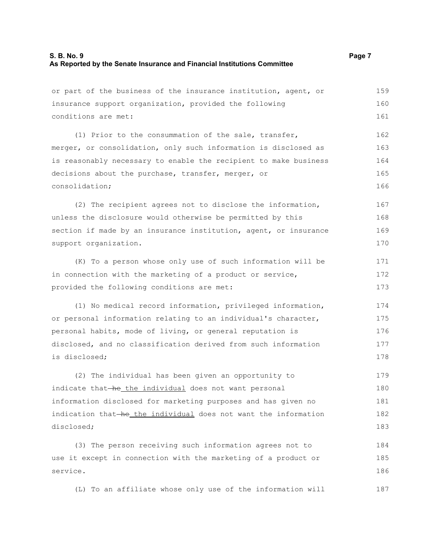or part of the business of the insurance institution, agent, or insurance support organization, provided the following conditions are met: (1) Prior to the consummation of the sale, transfer, merger, or consolidation, only such information is disclosed as is reasonably necessary to enable the recipient to make business decisions about the purchase, transfer, merger, or consolidation; (2) The recipient agrees not to disclose the information, unless the disclosure would otherwise be permitted by this section if made by an insurance institution, agent, or insurance support organization. (K) To a person whose only use of such information will be in connection with the marketing of a product or service, provided the following conditions are met: (1) No medical record information, privileged information, or personal information relating to an individual's character, personal habits, mode of living, or general reputation is disclosed, and no classification derived from such information is disclosed; (2) The individual has been given an opportunity to indicate that-he the individual does not want personal information disclosed for marketing purposes and has given no indication that he the individual does not want the information disclosed; (3) The person receiving such information agrees not to use it except in connection with the marketing of a product or service. 159 160 161 162 163 164 165 166 167 168 169 170 171 172 173 174 175 176 177 178 179 180 181 182 183 184 185 186

(L) To an affiliate whose only use of the information will 187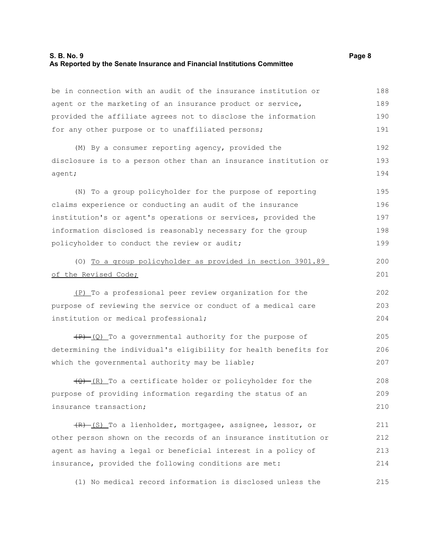#### **S. B. No. 9 Page 8 As Reported by the Senate Insurance and Financial Institutions Committee**

be in connection with an audit of the insurance institution or agent or the marketing of an insurance product or service, provided the affiliate agrees not to disclose the information for any other purpose or to unaffiliated persons; (M) By a consumer reporting agency, provided the disclosure is to a person other than an insurance institution or agent; (N) To a group policyholder for the purpose of reporting claims experience or conducting an audit of the insurance institution's or agent's operations or services, provided the information disclosed is reasonably necessary for the group policyholder to conduct the review or audit; (O) To a group policyholder as provided in section 3901.89 of the Revised Code; (P) To a professional peer review organization for the purpose of reviewing the service or conduct of a medical care institution or medical professional;  $(P)$  (Q) To a governmental authority for the purpose of determining the individual's eligibility for health benefits for which the governmental authority may be liable;  $\frac{1}{2}$  (R) To a certificate holder or policyholder for the purpose of providing information regarding the status of an insurance transaction; (R) (S) To a lienholder, mortgagee, assignee, lessor, or other person shown on the records of an insurance institution or agent as having a legal or beneficial interest in a policy of insurance, provided the following conditions are met: 188 189 190 191 192 193 194 195 196 197 198 199 200 201 202 203 204 205 206 207 208 209 210 211 212 213 214

(1) No medical record information is disclosed unless the 215